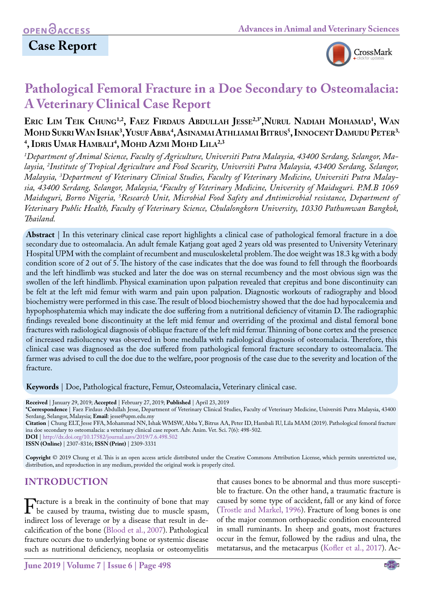# **Case Report**



# **Pathological Femoral Fracture in a Doe Secondary to Osteomalacia: A Veterinary Clinical Case Report**

## **Eric Lim Teik Chung1,2, Faez Firdaus Abdullah Jesse2,3\*,Nurul Nadiah Mohamad1 , Wan Mohd Sukri Wan Ishak3 , YusufAbba4 , AsinamaiAthliamaiBitrus5 , InnocentDamudu Peter3, 4 , Idris Umar Hambali 4 , Mohd Azmi Mohd Lila2,3**

*1 Department of Animal Science, Faculty of Agriculture, Universiti Putra Malaysia, 43400 Serdang, Selangor, Malaysia, 2 Institute of Tropical Agriculture and Food Security, Universiti Putra Malaysia, 43400 Serdang, Selangor, Malaysia, 3 Department of Veterinary Clinical Studies, Faculty of Veterinary Medicine, Universiti Putra Malaysia, 43400 Serdang, Selangor, Malaysia, 4Faculty of Veterinary Medicine, University of Maiduguri. P.M.B 1069 Maiduguri, Borno Nigeria, 5 Research Unit, Microbial Food Safety and Antimicrobial resistance, Department of Veterinary Public Health, Faculty of Veterinary Science, Chulalongkorn University, 10330 Pathumwan Bangkok, Thailand.*

**Abstract** | In this veterinary clinical case report highlights a clinical case of pathological femoral fracture in a doe secondary due to osteomalacia. An adult female Katjang goat aged 2 years old was presented to University Veterinary Hospital UPM with the complaint of recumbent and musculoskeletal problem. The doe weight was 18.3 kg with a body condition score of 2 out of 5. The history of the case indicates that the doe was found to fell through the floorboards and the left hindlimb was stucked and later the doe was on sternal recumbency and the most obvious sign was the swollen of the left hindlimb. Physical examination upon palpation revealed that crepitus and bone discontinuity can be felt at the left mid femur with warm and pain upon palpation. Diagnostic workouts of radiography and blood biochemistry were performed in this case. The result of blood biochemistry showed that the doe had hypocalcemia and hypophosphatemia which may indicate the doe suffering from a nutritional deficiency of vitamin D. The radiographic findings revealed bone discontinuity at the left mid femur and overriding of the proximal and distal femoral bone fractures with radiological diagnosis of oblique fracture of the left mid femur. Thinning of bone cortex and the presence of increased radiolucency was observed in bone medulla with radiological diagnosis of osteomalacia. Therefore, this clinical case was diagnosed as the doe suffered from pathological femoral fracture secondary to osteomalacia. The farmer was advised to cull the doe due to the welfare, poor prognosis of the case due to the severity and location of the fracture.

**Keywords** | Doe, Pathological fracture, Femur, Osteomalacia, Veterinary clinical case.

**Received** | January 29, 2019; **Accepted** | February 27, 2019; **Published** | April 23, 2019

**\*Correspondence** | Faez Firdaus Abdullah Jesse, Department of Veterinary Clinical Studies, Faculty of Veterinary Medicine, Universiti Putra Malaysia, 43400 Serdang, Selangor, Malaysia; **Email**: jesse@upm.edu.my **Citation** | Chung ELT, Jesse FFA, Mohammad NN, Ishak WMSW, Abba Y, Bitrus AA, Peter ID, Hambali IU, Lila MAM (2019). Pathological femoral fracture

ina doe secondary to osteomalacia: a veterinary clinical case report. Adv. Anim. Vet. Sci. 7(6): 498-502.

**DOI** | [http://dx.doi.org/10.17582/journal.aavs/201](http://dx.doi.org/10.17582/journal.aavs/2019/7.6.498.502)9/7.6.498.502

**ISSN (Online)** | 2307-8316; **ISSN (Print)** | 2309-3331

**Copyright** © 2019 Chung et al. This is an open access article distributed under the Creative Commons Attribution License, which permits unrestricted use, distribution, and reproduction in any medium, provided the original work is properly cited.

### **Introduction**

Fracture is a break in the continuity of bone that may<br>be caused by trauma, twisting due to muscle spasm,<br>indirect loss of leverage or by a disease that result in deindirect loss of leverage or by a disease that result in decalcification of the bone [\(Blood et al., 2007](#page-3-0)). Pathological fracture occurs due to underlying bone or systemic disease such as nutritional deficiency, neoplasia or osteomyelitis

that causes bones to be abnormal and thus more susceptible to fracture. On the other hand, a traumatic fracture is caused by some type of accident, fall or any kind of force ([Trostle and Markel, 1996\)](#page-3-1). Fracture of long bones is one of the major common orthopaedic condition encountered in small ruminants. In sheep and goats, most fractures occur in the femur, followed by the radius and ulna, the metatarsus, and the metacarpus ([Kofler et al., 2017](#page-3-2)). Ac-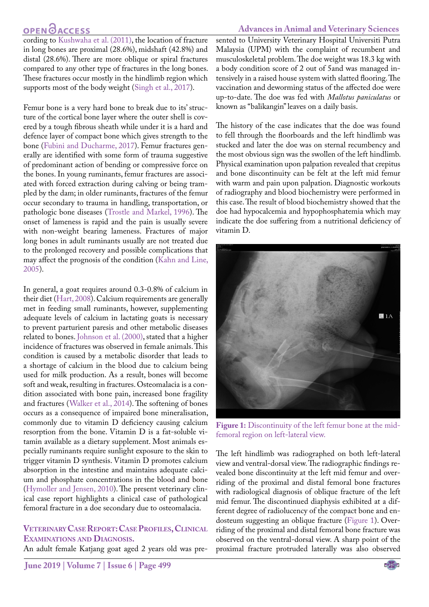#### **Advances in Animal and Veterinary Sciences**

# **OPEN OACCESS**

cording to [Kushwaha et al. \(2011\),](#page-3-3) the location of fracture in long bones are proximal (28.6%), midshaft (42.8%) and distal (28.6%). There are more oblique or spiral fractures compared to any other type of fractures in the long bones. These fractures occur mostly in the hindlimb region which supports most of the body weight ([Singh et al., 2017\)](#page-3-4).

Femur bone is a very hard bone to break due to its' structure of the cortical bone layer where the outer shell is covered by a tough fibrous sheath while under it is a hard and defence layer of compact bone which gives strength to the bone ([Fubini and Ducharme, 2017\)](#page-3-5). Femur fractures generally are identified with some form of trauma suggestive of predominant action of bending or compressive force on the bones. In young ruminants, femur fractures are associated with forced extraction during calving or being trampled by the dam; in older ruminants, fractures of the femur occur secondary to trauma in handling, transportation, or pathologic bone diseases [\(Trostle and Markel, 1996](#page-3-1)). The onset of lameness is rapid and the pain is usually severe with non-weight bearing lameness. Fractures of major long bones in adult ruminants usually are not treated due to the prolonged recovery and possible complications that may affect the prognosis of the condition [\(Kahn and Line,](#page-3-6) [2005](#page-3-6)).

In general, a goat requires around 0.3-0.8% of calcium in their diet [\(Hart, 2008](#page-3-7)). Calcium requirements are generally met in feeding small ruminants, however, supplementing adequate levels of calcium in lactating goats is necessary to prevent parturient paresis and other metabolic diseases related to bones. [Johnson et al. \(2000\)](#page-3-8), stated that a higher incidence of fractures was observed in female animals. This condition is caused by a metabolic disorder that leads to a shortage of calcium in the blood due to calcium being used for milk production. As a result, bones will become soft and weak, resulting in fractures. Osteomalacia is a condition associated with bone pain, increased bone fragility and fractures ([Walker et al., 2014\)](#page-4-0). The softening of bones occurs as a consequence of impaired bone mineralisation, commonly due to vitamin D deficiency causing calcium resorption from the bone. Vitamin D is a fat-soluble vitamin available as a dietary supplement. Most animals especially ruminants require sunlight exposure to the skin to trigger vitamin D synthesis. Vitamin D promotes calcium absorption in the intestine and maintains adequate calcium and phosphate concentrations in the blood and bone [\(Hymoller and Jensen, 2010](#page-3-9)). The present veterinary clinical case report highlights a clinical case of pathological femoral fracture in a doe secondary due to osteomalacia.

#### **VETERINARY CASE REPORT: CASE PROFILES, CLINICAL Examinations and Diagnosis.**

An adult female Katjang goat aged 2 years old was pre-

sented to University Veterinary Hospital Universiti Putra Malaysia (UPM) with the complaint of recumbent and musculoskeletal problem. The doe weight was 18.3 kg with a body condition score of 2 out of 5and was managed intensively in a raised house system with slatted flooring. The vaccination and deworming status of the affected doe were up-to-date. The doe was fed with *Mallotus paniculatus* or known as "balikangin" leaves on a daily basis.

The history of the case indicates that the doe was found to fell through the floorboards and the left hindlimb was stucked and later the doe was on sternal recumbency and the most obvious sign was the swollen of the left hindlimb. Physical examination upon palpation revealed that crepitus and bone discontinuity can be felt at the left mid femur with warm and pain upon palpation. Diagnostic workouts of radiography and blood biochemistry were performed in this case. The result of blood biochemistry showed that the doe had hypocalcemia and hypophosphatemia which may indicate the doe suffering from a nutritional deficiency of vitamin D.



**Figure 1:** Discontinuity of the left femur bone at the midfemoral region on left-lateral view.

<span id="page-1-0"></span>The left hindlimb was radiographed on both left-lateral view and ventral-dorsal view. The radiographic findings revealed bone discontinuity at the left mid femur and overriding of the proximal and distal femoral bone fractures with radiological diagnosis of oblique fracture of the left mid femur. The discontinued diaphysis exhibited at a different degree of radiolucency of the compact bone and endosteum suggesting an oblique fracture ([Figure 1\)](#page-1-0). Overriding of the proximal and distal femoral bone fracture was observed on the ventral-dorsal view. A sharp point of the proximal fracture protruded laterally was also observed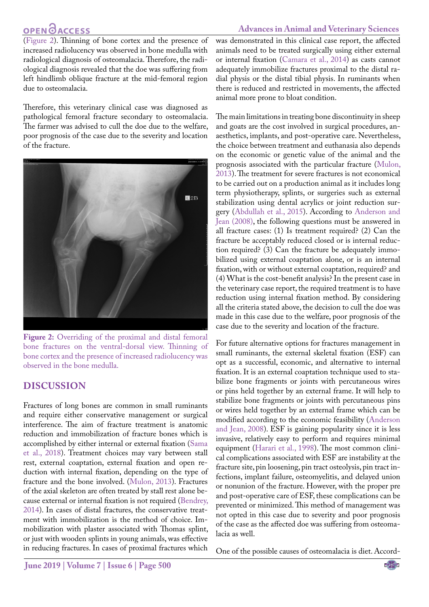## **OPEN OACCESS**

#### **Advances in Animal and Veterinary Sciences**

([Figure 2\)](#page-2-0). Thinning of bone cortex and the presence of increased radiolucency was observed in bone medulla with radiological diagnosis of osteomalacia. Therefore, the radiological diagnosis revealed that the doe was suffering from left hindlimb oblique fracture at the mid-femoral region due to osteomalacia.

Therefore, this veterinary clinical case was diagnosed as pathological femoral fracture secondary to osteomalacia. The farmer was advised to cull the doe due to the welfare, poor prognosis of the case due to the severity and location of the fracture.



**Figure 2:** Overriding of the proximal and distal femoral bone fractures on the ventral-dorsal view. Thinning of bone cortex and the presence of increased radiolucency was observed in the bone medulla.

### <span id="page-2-0"></span>**Discussion**

Fractures of long bones are common in small ruminants and require either conservative management or surgical interference. The aim of fracture treatment is anatomic reduction and immobilization of fracture bones which is accomplished by either internal or external fixation ([Sama](#page-3-10) [et al., 2018\)](#page-3-10). Treatment choices may vary between stall rest, external coaptation, external fixation and open reduction with internal fixation, depending on the type of fracture and the bone involved. ([Mulon, 2013](#page-3-11)). Fractures of the axial skeleton are often treated by stall rest alone because external or internal fixation is not required [\(Bendrey,](#page-3-12) [2014](#page-3-12)). In cases of distal fractures, the conservative treatment with immobilization is the method of choice. Immobilization with plaster associated with Thomas splint, or just with wooden splints in young animals, was effective in reducing fractures. In cases of proximal fractures which

was demonstrated in this clinical case report, the affected animals need to be treated surgically using either external or internal fixation ([Camara et al., 2014\)](#page-3-13) as casts cannot adequately immobilize fractures proximal to the distal radial physis or the distal tibial physis. In ruminants when there is reduced and restricted in movements, the affected animal more prone to bloat condition.

The main limitations in treating bone discontinuity in sheep and goats are the cost involved in surgical procedures, anaesthetics, implants, and post-operative care. Nevertheless, the choice between treatment and euthanasia also depends on the economic or genetic value of the animal and the prognosis associated with the particular fracture [\(Mulon,](#page-3-11)  [2013\)](#page-3-11). The treatment for severe fractures is not economical to be carried out on a production animal as it includes long term physiotherapy, splints, or surgeries such as external stabilization using dental acrylics or joint reduction surgery ([Abdullah et al., 2015\)](#page-3-14). According to [Anderson and](#page-3-15)  [Jean \(2008\)](#page-3-15), the following questions must be answered in all fracture cases: (1) Is treatment required? (2) Can the fracture be acceptably reduced closed or is internal reduction required? (3) Can the fracture be adequately immobilized using external coaptation alone, or is an internal fixation, with or without external coaptation, required? and (4) What is the cost-benefit analysis? In the present case in the veterinary case report, the required treatment is to have reduction using internal fixation method. By considering all the criteria stated above, the decision to cull the doe was made in this case due to the welfare, poor prognosis of the case due to the severity and location of the fracture.

For future alternative options for fractures management in small ruminants, the external skeletal fixation (ESF) can opt as a successful, economic, and alternative to internal fixation. It is an external coaptation technique used to stabilize bone fragments or joints with percutaneous wires or pins held together by an external frame. It will help to stabilize bone fragments or joints with percutaneous pins or wires held together by an external frame which can be modified according to the economic feasibility [\(Anderson](#page-3-15)  [and Jean, 2008\)](#page-3-15). ESF is gaining popularity since it is less invasive, relatively easy to perform and requires minimal equipment ([Harari et al., 1998\)](#page-3-16). The most common clinical complications associated with ESF are instability at the fracture site, pin loosening, pin tract osteolysis, pin tract infections, implant failure, osteomyelitis, and delayed union or nonunion of the fracture. However, with the proper pre and post-operative care of ESF, these complications can be prevented or minimized. This method of management was not opted in this case due to severity and poor prognosis of the case as the affected doe was suffering from osteomalacia as well.

One of the possible causes of osteomalacia is diet. Accord-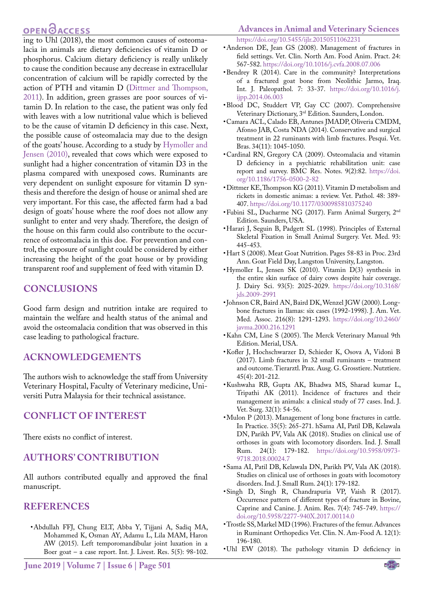## **OPEN**OACCESS

ing to Uhl (2018), the most common causes of osteomalacia in animals are dietary deficiencies of vitamin D or phosphorus. Calcium dietary deficiency is really unlikely to cause the condition because any decrease in extracellular concentration of calcium will be rapidly corrected by the action of PTH and vitamin D [\(Dittmer and Thompson,](#page-3-17) [2011\)](#page-3-17). In addition, green grasses are poor sources of vitamin D. In relation to the case, the patient was only fed with leaves with a low nutritional value which is believed to be the cause of vitamin D deficiency in this case. Next, the possible cause of osteomalacia may due to the design of the goats' house. According to a study by [Hymoller and](#page-3-9) [Jensen \(2010\)](#page-3-9), revealed that cows which were exposed to sunlight had a higher concentration of vitamin D3 in the plasma compared with unexposed cows. Ruminants are very dependent on sunlight exposure for vitamin D synthesis and therefore the design of house or animal shed are very important. For this case, the affected farm had a bad design of goats' house where the roof does not allow any sunlight to enter and very shady. Therefore, the design of the house on this farm could also contribute to the occurrence of osteomalacia in this doe. For prevention and control, the exposure of sunlight could be considered by either increasing the height of the goat house or by providing transparent roof and supplement of feed with vitamin D.

#### **Conclusions**

Good farm design and nutrition intake are required to maintain the welfare and health status of the animal and avoid the osteomalacia condition that was observed in this case leading to pathological fracture.

### **Acknowledgements**

The authors wish to acknowledge the staff from University Veterinary Hospital, Faculty of Veterinary medicine, Universiti Putra Malaysia for their technical assistance.

### **Conflict of Interest**

There exists no conflict of interest.

### **Authors' Contribution**

All authors contributed equally and approved the final manuscript.

#### **References**

<span id="page-3-14"></span>• Abdullah FFJ, Chung ELT, Abba Y, Tijjani A, Sadiq MA, Mohammed K, Osman AY, Adamu L, Lila MAM, Haron AW (2015). Left temporomandibular joint luxation in a Boer goat – a case report. Int. J. Livest. Res. 5(5): 98-102.

#### **Advances in Animal and Veterinary Sciences** [https://doi.org/10.5455/ijlr.20150511062231](https://doi.org/10.5455/ijlr.20150511062231 )

- <span id="page-3-15"></span>• Anderson DE, Jean GS (2008). Management of fractures in field settings. Vet. Clin. North Am. Food Anim. Pract. 24: 567-582. [https://doi.org/10.1016/j.cvfa.2008.07.006](https://doi.org/10.1016/j.cvfa.2008.07.006 )
- <span id="page-3-12"></span>• Bendrey R (2014). Care in the community? Interpretations of a fractured goat bone from Neolithic Jarmo, Iraq. Int. J. Paleopathol. 7: 33-37. https://doi.org/10.1016/j. ijpp.2014.06.003
- <span id="page-3-0"></span>• Blood DC, Studdert VP, Gay CC (2007). Comprehensive Veterinary Dictionary, 3rd Edition. Saunders, London.
- <span id="page-3-13"></span>• Camara ACL, Calado EB, Antunes JMADP, Oliveria CMDM, Afonso JAB, Costa NDA (2014). Conservative and surgical treatment in 22 ruminants with limb fractures. Pesqui. Vet. Bras. 34(11): 1045-1050.
- • Cardinal RN, Gregory CA (2009). Osteomalacia and vitamin D deficiency in a psychiatric rehabilitation unit: case report and survey. BMC Res. Notes. 9(2):82. [https://doi.](https://doi.org/10.1186/1756-0500-2-82 ) [org/10.1186/1756-0500-2-82](https://doi.org/10.1186/1756-0500-2-82 )
- <span id="page-3-17"></span>• Dittmer KE, Thompson KG (2011). Vitamin D metabolism and rickets in domestic animas: a review. Vet. Pathol. 48: 389- 407. [https://doi.org/10.1177/0300985810375240](https://doi.org/10.1177/0300985810375240 )
- <span id="page-3-5"></span>• Fubini SL, Ducharme NG (2017). Farm Animal Surgery, 2<sup>nd</sup> Edition. Saunders, USA.
- <span id="page-3-16"></span>• Harari J, Seguin B, Padgett SL (1998). Principles of External Skeletal Fixation in Small Animal Surgery. Vet. Med. 93: 445-453.
- <span id="page-3-7"></span>• Hart S (2008). Meat Goat Nutrition. Pages 58-83 in Proc. 23rd Ann. Goat Field Day, Langston University, Langston.
- <span id="page-3-9"></span>• Hymoller L, Jensen SK (2010). Vitamin D(3) synthesis in the entire skin surface of dairy cows despite hair coverage. J. Dairy Sci. 93(5): 2025-2029. [https://doi.org/10.3168/](https://doi.org/10.3168/jds.2009-2991 ) [jds.2009-2991](https://doi.org/10.3168/jds.2009-2991 )
- <span id="page-3-8"></span>• Johnson CR, Baird AN, Baird DK, Wenzel JGW (2000). Longbone fractures in llamas: six cases (1992-1998). J. Am. Vet. Med. Assoc. 216(8): 1291-1293. [https://doi.org/10.2460/](https://doi.org/10.2460/javma.2000.216.1291 ) [javma.2000.216.1291](https://doi.org/10.2460/javma.2000.216.1291 )
- <span id="page-3-6"></span>• Kahn CM, Line S (2005). The Merck Veterinary Manual 9th Edition. Merial, USA.
- <span id="page-3-2"></span>• Kofler J, Hochschwarzer D, Schieder K, Osova A, Vidoni B (2017). Limb fractures in 32 small ruminants – treatment and outcome. Tierarztl. Prax. Ausg. G. Grosstiere. Nutztiere. 45(4): 201-212.
- <span id="page-3-3"></span>• Kushwaha RB, Gupta AK, Bhadwa MS, Sharad kumar L, Tripathi AK (2011). Incidence of fractures and their management in animals: a clinical study of 77 cases. Ind. J. Vet. Surg. 32(1): 54-56.
- <span id="page-3-11"></span>• Mulon P (2013). Management of long bone fractures in cattle. In Practice. 35(5): 265-271. hSama AI, Patil DB, Kelawala DN, Parikh PV, Vala AK (2018). Studies on clinical use of orthoses in goats with locomotory disorders. Ind. J. Small Rum. 24(1): 179-182. [https://doi.org/10.5958/0973-](https://doi.org/10.5958/0973-9718.2018.00024.7 ) [9718.2018.00024.7](https://doi.org/10.5958/0973-9718.2018.00024.7 )
- <span id="page-3-10"></span>• [Sama AI, Patil DB, Kelawala DN, Parikh PV, Vala AK \(2018\).](https://doi.org/10.5958/0973-9718.2018.00024.7 )  [Studies on clinical use of orthoses in goats with locomotory](https://doi.org/10.5958/0973-9718.2018.00024.7 )  [disorders. Ind. J. Small Rum. 24\(1\): 179-182.](https://doi.org/10.5958/0973-9718.2018.00024.7 )
- <span id="page-3-4"></span>• Singh D, Singh R, Chandrapuria VP, Vaish R (2017). Occurrence pattern of different types of fracture in Bovine, Caprine and Canine. J. Anim. Res. 7(4): 745-749. [https://](https://doi.org/10.5958/2277-940X.2017.00114.0 ) [doi.org/10.5958/2277-940X.2017.00114.0](https://doi.org/10.5958/2277-940X.2017.00114.0 )
- <span id="page-3-1"></span>• Trostle SS, Markel MD (1996). Fractures of the femur. Advances in Ruminant Orthopedics Vet. Clin. N. Am-Food A. 12(1): 196-180.
- • Uhl EW (2018). The pathology vitamin D deficiency in

NE**X**US